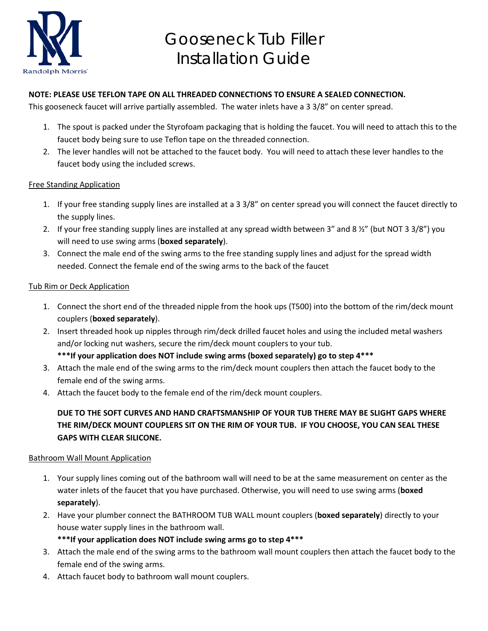

# Gooseneck Tub Filler Installation Guide

### **NOTE: PLEASE USE TEFLON TAPE ON ALL THREADED CONNECTIONS TO ENSURE A SEALED CONNECTION.**

This gooseneck faucet will arrive partially assembled. The water inlets have a 3 3/8" on center spread.

- 1. The spout is packed under the Styrofoam packaging that is holding the faucet. You will need to attach this to the faucet body being sure to use Teflon tape on the threaded connection.
- 2. The lever handles will not be attached to the faucet body. You will need to attach these lever handles to the faucet body using the included screws.

### Free Standing Application

- 1. If your free standing supply lines are installed at a 3 3/8" on center spread you will connect the faucet directly to the supply lines.
- 2. If your free standing supply lines are installed at any spread width between 3" and 8 ½" (but NOT 3 3/8") you will need to use swing arms (**boxed separately**).
- 3. Connect the male end of the swing arms to the free standing supply lines and adjust for the spread width needed. Connect the female end of the swing arms to the back of the faucet

#### Tub Rim or Deck Application

- 1. Connect the short end of the threaded nipple from the hook ups (T500) into the bottom of the rim/deck mount couplers (**boxed separately**).
- 2. Insert threaded hook up nipples through rim/deck drilled faucet holes and using the included metal washers and/or locking nut washers, secure the rim/deck mount couplers to your tub.
	- **\*\*\*If your application does NOT include swing arms (boxed separately) go to step 4\*\*\***
- 3. Attach the male end of the swing arms to the rim/deck mount couplers then attach the faucet body to the female end of the swing arms.
- 4. Attach the faucet body to the female end of the rim/deck mount couplers.

## **DUE TO THE SOFT CURVES AND HAND CRAFTSMANSHIP OF YOUR TUB THERE MAY BE SLIGHT GAPS WHERE THE RIM/DECK MOUNT COUPLERS SIT ON THE RIM OF YOUR TUB. IF YOU CHOOSE, YOU CAN SEAL THESE GAPS WITH CLEAR SILICONE.**

#### Bathroom Wall Mount Application

- 1. Your supply lines coming out of the bathroom wall will need to be at the same measurement on center as the water inlets of the faucet that you have purchased. Otherwise, you will need to use swing arms (**boxed separately**).
- 2. Have your plumber connect the BATHROOM TUB WALL mount couplers (**boxed separately**) directly to your house water supply lines in the bathroom wall.
	- **\*\*\*If your application does NOT include swing arms go to step 4\*\*\***
- 3. Attach the male end of the swing arms to the bathroom wall mount couplers then attach the faucet body to the female end of the swing arms.
- 4. Attach faucet body to bathroom wall mount couplers.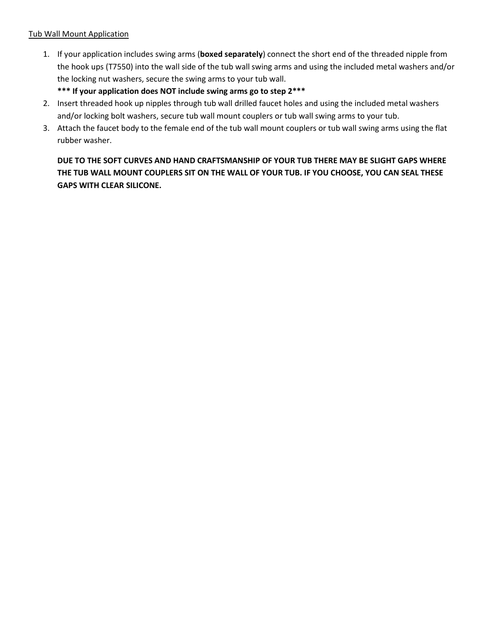#### Tub Wall Mount Application

1. If your application includes swing arms (**boxed separately**) connect the short end of the threaded nipple from the hook ups (T7550) into the wall side of the tub wall swing arms and using the included metal washers and/or the locking nut washers, secure the swing arms to your tub wall.

## **\*\*\* If your application does NOT include swing arms go to step 2\*\*\***

- 2. Insert threaded hook up nipples through tub wall drilled faucet holes and using the included metal washers and/or locking bolt washers, secure tub wall mount couplers or tub wall swing arms to your tub.
- 3. Attach the faucet body to the female end of the tub wall mount couplers or tub wall swing arms using the flat rubber washer.

# **DUE TO THE SOFT CURVES AND HAND CRAFTSMANSHIP OF YOUR TUB THERE MAY BE SLIGHT GAPS WHERE THE TUB WALL MOUNT COUPLERS SIT ON THE WALL OF YOUR TUB. IF YOU CHOOSE, YOU CAN SEAL THESE GAPS WITH CLEAR SILICONE.**